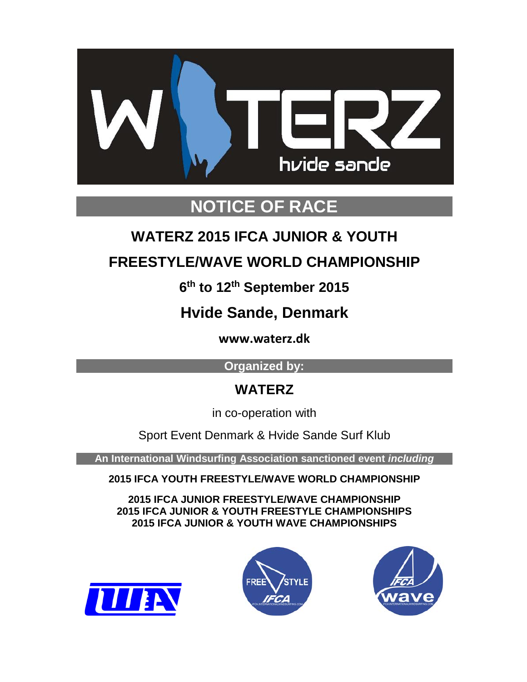

# **NOTICE OF RACE**

# **WATERZ 2015 IFCA JUNIOR & YOUTH**

## **FREESTYLE/WAVE WORLD CHAMPIONSHIP**

## **6th to 12th September 2015**

## **Hvide Sande, Denmark**

**www.waterz.dk**

## **Organized by:**

## **WATERZ**

in co-operation with

Sport Event Denmark & Hvide Sande Surf Klub

**An International Windsurfing Association sanctioned event** *including*

**2015 IFCA YOUTH FREESTYLE/WAVE WORLD CHAMPIONSHIP**

**2015 IFCA JUNIOR FREESTYLE/WAVE CHAMPIONSHIP 2015 IFCA JUNIOR & YOUTH FREESTYLE CHAMPIONSHIPS 2015 IFCA JUNIOR & YOUTH WAVE CHAMPIONSHIPS**





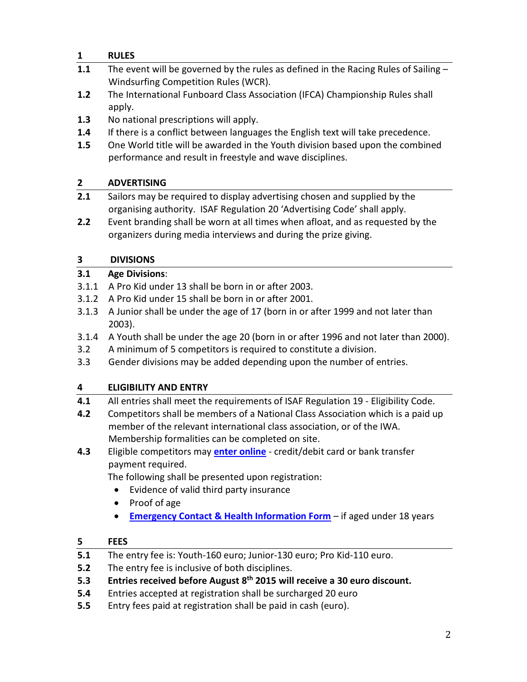## **1 RULES**

- **1.1** The event will be governed by the rules as defined in the Racing Rules of Sailing Windsurfing Competition Rules (WCR).
- **1.2** The International Funboard Class Association (IFCA) Championship Rules shall apply.
- **1.3** No national prescriptions will apply.
- **1.4** If there is a conflict between languages the English text will take precedence.
- **1.5** One World title will be awarded in the Youth division based upon the combined performance and result in freestyle and wave disciplines.

## **2 ADVERTISING**

- **2.1** Sailors may be required to display advertising chosen and supplied by the organising authority. ISAF Regulation 20 'Advertising Code' shall apply.
- **2.2** Event branding shall be worn at all times when afloat, and as requested by the organizers during media interviews and during the prize giving.

## **3 DIVISIONS**

## **3.1 Age Divisions**:

- 3.1.1 A Pro Kid under 13 shall be born in or after 2003.
- 3.1.2 A Pro Kid under 15 shall be born in or after 2001.
- 3.1.3 A Junior shall be under the age of 17 (born in or after 1999 and not later than 2003).
- 3.1.4 A Youth shall be under the age 20 (born in or after 1996 and not later than 2000).
- 3.2 A minimum of 5 competitors is required to constitute a division.
- 3.3 Gender divisions may be added depending upon the number of entries.

## **4 ELIGIBILITY AND ENTRY**

- **4.1** All entries shall meet the requirements of ISAF Regulation 19 Eligibility Code.
- **4.2** Competitors shall be members of a National Class Association which is a paid up member of the relevant international class association, or of the IWA. Membership formalities can be completed on site.
- **4.3** Eligible competitors may **enter [online](http://form.jotformpro.com/form/51722318084957)** credit/debit card or bank transfer payment required.

The following shall be presented upon registration:

- Evidence of valid third party insurance
- Proof of age
- **[Emergency Contact & Health Information Form](http://form.jotformpro.com/form/51722690384963)** if aged under 18 years

## **5 FEES**

- **5.1** The entry fee is: Youth-160 euro; Junior-130 euro; Pro Kid-110 euro.
- **5.2** The entry fee is inclusive of both disciplines.
- **5.3 Entries received before August 8th 2015 will receive a 30 euro discount.**
- **5.4** Entries accepted at registration shall be surcharged 20 euro
- **5.5** Entry fees paid at registration shall be paid in cash (euro).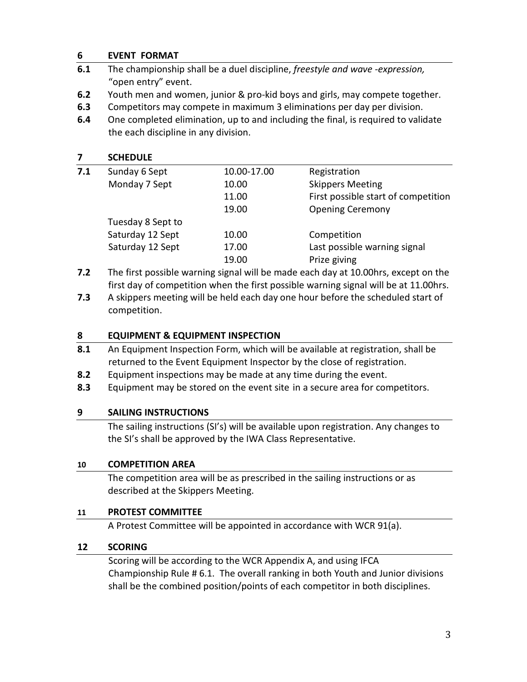#### **6 EVENT FORMAT**

- **6.1** The championship shall be a duel discipline, *freestyle and wave -expression,*  "open entry" event.
- **6.2** Youth men and women, junior & pro-kid boys and girls, may compete together.
- **6.3** Competitors may compete in maximum 3 eliminations per day per division.
- **6.4** One completed elimination, up to and including the final, is required to validate the each discipline in any division.

#### **7 SCHEDULE**

| 7.1 | Sunday 6 Sept     | 10.00-17.00 | Registration                        |
|-----|-------------------|-------------|-------------------------------------|
|     | Monday 7 Sept     | 10.00       | <b>Skippers Meeting</b>             |
|     |                   | 11.00       | First possible start of competition |
|     |                   | 19.00       | <b>Opening Ceremony</b>             |
|     | Tuesday 8 Sept to |             |                                     |
|     | Saturday 12 Sept  | 10.00       | Competition                         |
|     | Saturday 12 Sept  | 17.00       | Last possible warning signal        |
|     |                   | 19.00       | Prize giving                        |
|     |                   |             |                                     |

- **7.2** The first possible warning signal will be made each day at 10.00hrs, except on the first day of competition when the first possible warning signal will be at 11.00hrs.
- **7.3** A skippers meeting will be held each day one hour before the scheduled start of competition.

#### **8 EQUIPMENT & EQUIPMENT INSPECTION**

- **8.1** An Equipment Inspection Form, which will be available at registration, shall be returned to the Event Equipment Inspector by the close of registration.
- **8.2** Equipment inspections may be made at any time during the event.
- **8.3** Equipment may be stored on the event site in a secure area for competitors.

## **9 SAILING INSTRUCTIONS**

The sailing instructions (SI's) will be available upon registration. Any changes to the SI's shall be approved by the IWA Class Representative.

#### **10 COMPETITION AREA**

The competition area will be as prescribed in the sailing instructions or as described at the Skippers Meeting.

#### **11 PROTEST COMMITTEE**

A Protest Committee will be appointed in accordance with WCR 91(a).

## **12 SCORING**

Scoring will be according to the WCR Appendix A, and using IFCA Championship Rule # 6.1. The overall ranking in both Youth and Junior divisions shall be the combined position/points of each competitor in both disciplines.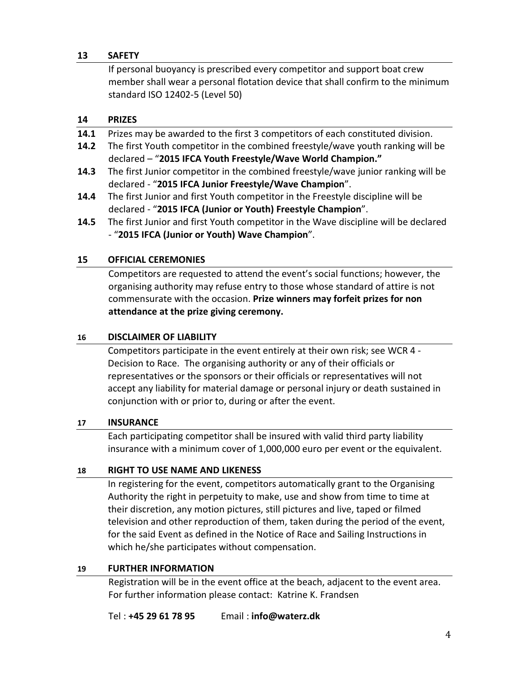#### **13 SAFETY**

If personal buoyancy is prescribed every competitor and support boat crew member shall wear a personal flotation device that shall confirm to the minimum standard ISO 12402-5 (Level 50)

#### **14 PRIZES**

- **14.1** Prizes may be awarded to the first 3 competitors of each constituted division.
- **14.2** The first Youth competitor in the combined freestyle/wave youth ranking will be declared – "**2015 IFCA Youth Freestyle/Wave World Champion."**
- **14.3** The first Junior competitor in the combined freestyle/wave junior ranking will be declared - "**2015 IFCA Junior Freestyle/Wave Champion**".
- **14.4** The first Junior and first Youth competitor in the Freestyle discipline will be declared - "**2015 IFCA (Junior or Youth) Freestyle Champion**".
- **14.5** The first Junior and first Youth competitor in the Wave discipline will be declared - "**2015 IFCA (Junior or Youth) Wave Champion**".

#### **15 OFFICIAL CEREMONIES**

Competitors are requested to attend the event's social functions; however, the organising authority may refuse entry to those whose standard of attire is not commensurate with the occasion. **Prize winners may forfeit prizes for non attendance at the prize giving ceremony.**

#### **16 DISCLAIMER OF LIABILITY**

Competitors participate in the event entirely at their own risk; see WCR 4 - Decision to Race. The organising authority or any of their officials or representatives or the sponsors or their officials or representatives will not accept any liability for material damage or personal injury or death sustained in conjunction with or prior to, during or after the event.

#### **17 INSURANCE**

Each participating competitor shall be insured with valid third party liability insurance with a minimum cover of 1,000,000 euro per event or the equivalent.

#### **18 RIGHT TO USE NAME AND LIKENESS**

In registering for the event, competitors automatically grant to the Organising Authority the right in perpetuity to make, use and show from time to time at their discretion, any motion pictures, still pictures and live, taped or filmed television and other reproduction of them, taken during the period of the event, for the said Event as defined in the Notice of Race and Sailing Instructions in which he/she participates without compensation.

#### **19 FURTHER INFORMATION**

Registration will be in the event office at the beach, adjacent to the event area. For further information please contact: Katrine K. Frandsen

Tel : **+45 29 61 78 95** Email : **info@waterz.dk**